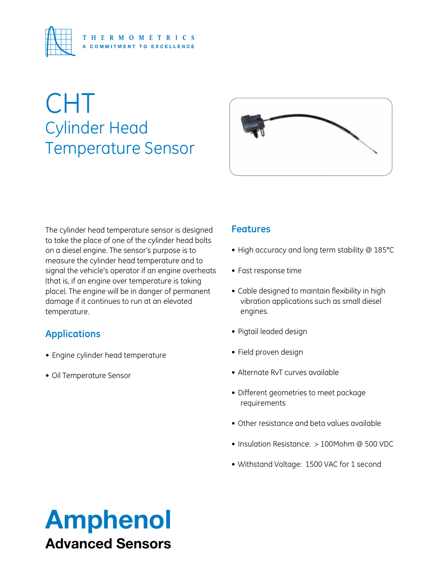

# CHT Cylinder Head Temperature Sensor



The cylinder head temperature sensor is designed to take the place of one of the cylinder head bolts on a diesel engine. The sensor's purpose is to measure the cylinder head temperature and to signal the vehicle's operator if an engine overheats (that is, if an engine over temperature is taking place). The engine will be in danger of permanent damage if it continues to run at an elevated temperature.

## **Applications**

- Engine cylinder head temperature
- • Oil Temperature Sensor

### **Features**

- High accuracy and long term stability @ 185°C
- • Fast response time
- Cable designed to maintain flexibility in high vibration applications such as small diesel engines.
- • Pigtail leaded design
- • Field proven design
- Alternate RvT curves available
- • Different geometries to meet package requirements
- Other resistance and beta values available
- Insulation Resistance: > 100Mohm @ 500 VDC
- Withstand Voltage: 1500 VAC for 1 second

# Amphenol Advanced Sensors